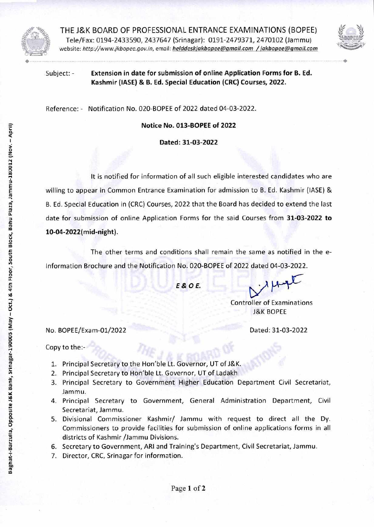

THE J&K BOARD OF PROFESSIONAL ENTRANCE EXAMINATIONS (BOPEE) Tele/Fax: 0194-2433590, 2437647 (Srinagar): 0191-2479371, 2470102 (Jammu) website: http://www.jkbopee.gov.in, email: *helddeskjakbopee@gmail.com / jakbopee@gmail.com* 



•

Subject: - **Extension in date for submission of online Application Forms for B. Ed. Kashmir (IASE) & B. Ed. Special Education (CRC) Courses, 2022.** 

Reference: - Notification No. 020-BOPEE of 2022 dated 04-03-2022.

**Notice No. 013-BOPEE of 2022** 

**Dated: 31-03-2022** 

It is notified for information of all such eligible interested candidates who are willing to appear in Common Entrance Examination for admission to B. Ed. Kashmir (IASE) & B. Ed. Special Education in (CRC) Courses, 2022 that the Board has decided to extend the last date for submission of online Application Forms for the said Courses from **31-03-2022 to 10-04-2022(mid-night).** 

The other terms and conditions shall remain the same as notified in the e-Information Brochure and the Notification No. 020-BOPEE of 2022 dated 04-03-2022.

*E&OE.* 

Controller of Examinations J&K BOPEE

No. BOPEE/Exam-01/2022 Dated: 31-03-2022

Copy to the:-

- 1. Principal Secretary to the Hon'ble Lt. Governor, UT of J&K.
- 2. Principal Secretary to Hon'ble Lt. Governor, UT of Ladakh
- 3. Principal Secretary to Government Higher Education Department Civil Secretariat, Jammu.
- 4. Principal Secretary to Government, General Administration Department, Civil Secretariat, Jammu.
- 5. Divisional Commissioner Kashmir/ Jammu with request to direct all the Dy. Commissioners to provide facilities for submission of online applications forms in all districts of Kashmir /Jammu Divisions.
- 6. Secretary to Government, ARI and Training's Department, Civil Secretariat, Jammu.
- 7. Director, CRC, Srinagar for information.